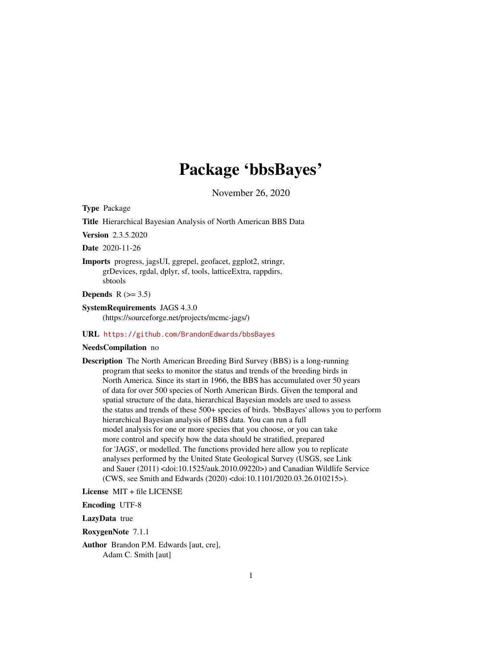# Package 'bbsBayes'

November 26, 2020

Type Package

Title Hierarchical Bayesian Analysis of North American BBS Data

Version 2.3.5.2020

Date 2020-11-26

Imports progress, jagsUI, ggrepel, geofacet, ggplot2, stringr, grDevices, rgdal, dplyr, sf, tools, latticeExtra, rappdirs, sbtools

Depends  $R$  ( $> = 3.5$ )

SystemRequirements JAGS 4.3.0 (https://sourceforge.net/projects/mcmc-jags/)

#### URL <https://github.com/BrandonEdwards/bbsBayes>

#### NeedsCompilation no

Description The North American Breeding Bird Survey (BBS) is a long-running program that seeks to monitor the status and trends of the breeding birds in North America. Since its start in 1966, the BBS has accumulated over 50 years of data for over 500 species of North American Birds. Given the temporal and spatial structure of the data, hierarchical Bayesian models are used to assess the status and trends of these 500+ species of birds. 'bbsBayes' allows you to perform hierarchical Bayesian analysis of BBS data. You can run a full model analysis for one or more species that you choose, or you can take more control and specify how the data should be stratified, prepared for 'JAGS', or modelled. The functions provided here allow you to replicate analyses performed by the United State Geological Survey (USGS, see Link and Sauer (2011) <doi:10.1525/auk.2010.09220>) and Canadian Wildlife Service (CWS, see Smith and Edwards (2020) <doi:10.1101/2020.03.26.010215>).

License MIT + file LICENSE

Encoding UTF-8

LazyData true

RoxygenNote 7.1.1

Author Brandon P.M. Edwards [aut, cre], Adam C. Smith [aut]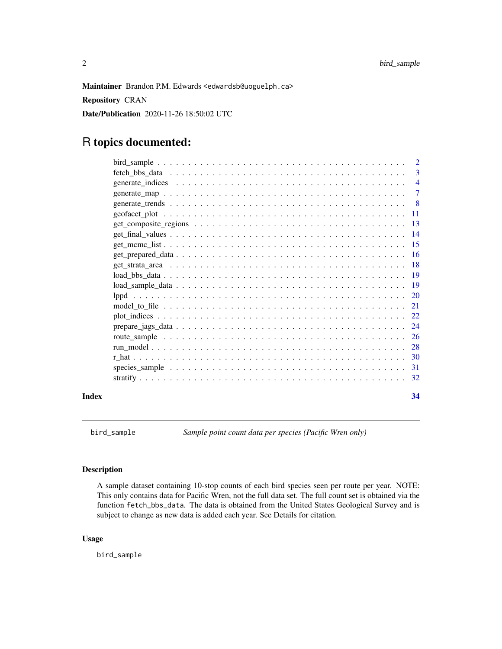<span id="page-1-0"></span>Maintainer Brandon P.M. Edwards <edwardsb@uoguelph.ca>

Repository CRAN

Date/Publication 2020-11-26 18:50:02 UTC

## R topics documented:

|  |  |  |  |  |  |  | 34 |
|--|--|--|--|--|--|--|----|

bird\_sample *Sample point count data per species (Pacific Wren only)*

#### Description

A sample dataset containing 10-stop counts of each bird species seen per route per year. NOTE: This only contains data for Pacific Wren, not the full data set. The full count set is obtained via the function fetch\_bbs\_data. The data is obtained from the United States Geological Survey and is subject to change as new data is added each year. See Details for citation.

#### Usage

bird\_sample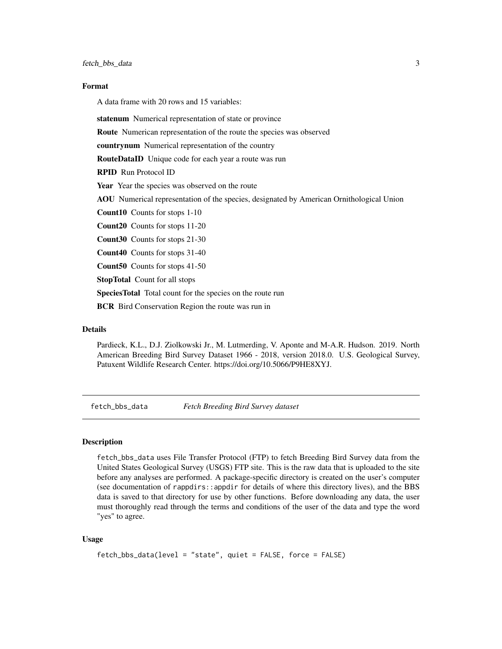#### <span id="page-2-0"></span>Format

A data frame with 20 rows and 15 variables:

statenum Numerical representation of state or province

Route Numerican representation of the route the species was observed

countrynum Numerical representation of the country

RouteDataID Unique code for each year a route was run

RPID Run Protocol ID

Year Year the species was observed on the route

AOU Numerical representation of the species, designated by American Ornithological Union

Count10 Counts for stops 1-10

Count20 Counts for stops 11-20

Count30 Counts for stops 21-30

Count40 Counts for stops 31-40

Count50 Counts for stops 41-50

StopTotal Count for all stops

SpeciesTotal Total count for the species on the route run

**BCR** Bird Conservation Region the route was run in

#### Details

Pardieck, K.L., D.J. Ziolkowski Jr., M. Lutmerding, V. Aponte and M-A.R. Hudson. 2019. North American Breeding Bird Survey Dataset 1966 - 2018, version 2018.0. U.S. Geological Survey, Patuxent Wildlife Research Center. https://doi.org/10.5066/P9HE8XYJ.

fetch\_bbs\_data *Fetch Breeding Bird Survey dataset*

#### Description

fetch\_bbs\_data uses File Transfer Protocol (FTP) to fetch Breeding Bird Survey data from the United States Geological Survey (USGS) FTP site. This is the raw data that is uploaded to the site before any analyses are performed. A package-specific directory is created on the user's computer (see documentation of rappdirs::appdir for details of where this directory lives), and the BBS data is saved to that directory for use by other functions. Before downloading any data, the user must thoroughly read through the terms and conditions of the user of the data and type the word "yes" to agree.

#### Usage

```
fetch_bbs_data(level = "state", quiet = FALSE, force = FALSE)
```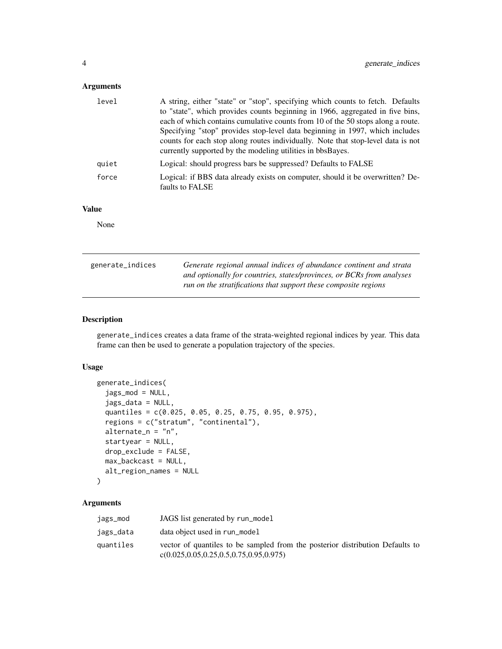#### <span id="page-3-0"></span>Arguments

| level | A string, either "state" or "stop", specifying which counts to fetch. Defaults                    |
|-------|---------------------------------------------------------------------------------------------------|
|       | to "state", which provides counts beginning in 1966, aggregated in five bins,                     |
|       | each of which contains cumulative counts from 10 of the 50 stops along a route.                   |
|       | Specifying "stop" provides stop-level data beginning in 1997, which includes                      |
|       | counts for each stop along routes individually. Note that stop-level data is not                  |
|       | currently supported by the modeling utilities in bbsBayes.                                        |
| quiet | Logical: should progress bars be suppressed? Defaults to FALSE                                    |
| force | Logical: if BBS data already exists on computer, should it be overwritten? De-<br>faults to FALSE |
|       |                                                                                                   |

#### Value

None

| generate_indices | Generate regional annual indices of abundance continent and strata    |
|------------------|-----------------------------------------------------------------------|
|                  | and optionally for countries, states/provinces, or BCRs from analyses |
|                  | run on the stratifications that support these composite regions       |

#### Description

generate\_indices creates a data frame of the strata-weighted regional indices by year. This data frame can then be used to generate a population trajectory of the species.

#### Usage

```
generate_indices(
  jags_mod = NULL,
  jags_data = NULL,
  quantiles = c(0.025, 0.05, 0.25, 0.75, 0.95, 0.975),
  regions = c("stratum", "continental"),
  \text{alternative}_n = "n",startyear = NULL,
  drop_exclude = FALSE,
 max_backcast = NULL,
 alt_region_names = NULL
)
```
#### Arguments

| jags_mod  | JAGS list generated by run_model                                                                                                |
|-----------|---------------------------------------------------------------------------------------------------------------------------------|
| jags_data | data object used in run_model                                                                                                   |
| quantiles | vector of quantiles to be sampled from the posterior distribution Defaults to<br>$c(0.025, 0.05, 0.25, 0.5, 0.75, 0.95, 0.975)$ |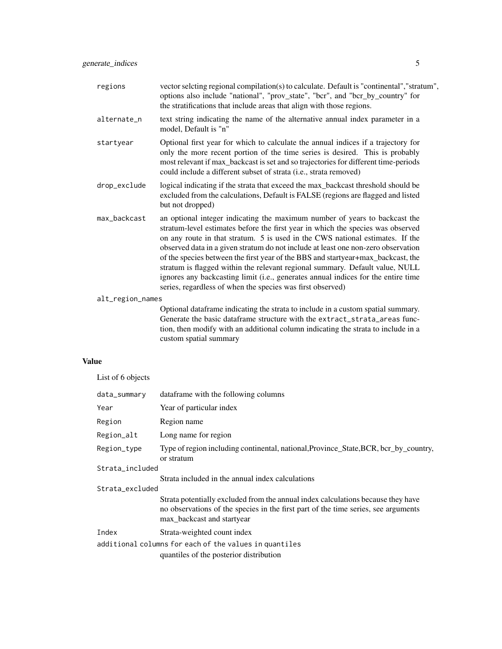| regions          | vector selcting regional compilation(s) to calculate. Default is "continental","stratum",<br>options also include "national", "prov_state", "bcr", and "bcr_by_country" for<br>the stratifications that include areas that align with those regions.                                                                                                                                                                                                                                                                                                                                                                                                       |
|------------------|------------------------------------------------------------------------------------------------------------------------------------------------------------------------------------------------------------------------------------------------------------------------------------------------------------------------------------------------------------------------------------------------------------------------------------------------------------------------------------------------------------------------------------------------------------------------------------------------------------------------------------------------------------|
| alternate_n      | text string indicating the name of the alternative annual index parameter in a<br>model, Default is "n"                                                                                                                                                                                                                                                                                                                                                                                                                                                                                                                                                    |
| startyear        | Optional first year for which to calculate the annual indices if a trajectory for<br>only the more recent portion of the time series is desired. This is probably<br>most relevant if max_backcast is set and so trajectories for different time-periods<br>could include a different subset of strata (i.e., strata removed)                                                                                                                                                                                                                                                                                                                              |
| drop_exclude     | logical indicating if the strata that exceed the max_backcast threshold should be<br>excluded from the calculations, Default is FALSE (regions are flagged and listed<br>but not dropped)                                                                                                                                                                                                                                                                                                                                                                                                                                                                  |
| max backcast     | an optional integer indicating the maximum number of years to backcast the<br>stratum-level estimates before the first year in which the species was observed<br>on any route in that stratum. 5 is used in the CWS national estimates. If the<br>observed data in a given stratum do not include at least one non-zero observation<br>of the species between the first year of the BBS and startyear+max_backcast, the<br>stratum is flagged within the relevant regional summary. Default value, NULL<br>ignores any backcasting limit (i.e., generates annual indices for the entire time<br>series, regardless of when the species was first observed) |
| alt_region_names |                                                                                                                                                                                                                                                                                                                                                                                                                                                                                                                                                                                                                                                            |
|                  | Optional dataframe indicating the strata to include in a custom spatial summary.<br>Generate the basic dataframe structure with the extract_strata_areas func-<br>tion, then modify with an additional column indicating the strata to include in a<br>custom spatial summary                                                                                                                                                                                                                                                                                                                                                                              |
| ıe               |                                                                                                                                                                                                                                                                                                                                                                                                                                                                                                                                                                                                                                                            |

# Valu

List of 6 objects

| data_summary    | dataframe with the following columns                                                                                                                                                                 |
|-----------------|------------------------------------------------------------------------------------------------------------------------------------------------------------------------------------------------------|
| Year            | Year of particular index                                                                                                                                                                             |
| Region          | Region name                                                                                                                                                                                          |
| Region_alt      | Long name for region                                                                                                                                                                                 |
| Region_type     | Type of region including continental, national, Province_State, BCR, bcr_by_country,<br>or stratum                                                                                                   |
| Strata_included |                                                                                                                                                                                                      |
|                 | Strata included in the annual index calculations                                                                                                                                                     |
| Strata_excluded |                                                                                                                                                                                                      |
|                 | Strata potentially excluded from the annual index calculations because they have<br>no observations of the species in the first part of the time series, see arguments<br>max_backcast and startyear |
| Index           | Strata-weighted count index                                                                                                                                                                          |
|                 | additional columns for each of the values in quantiles<br>quantiles of the posterior distribution                                                                                                    |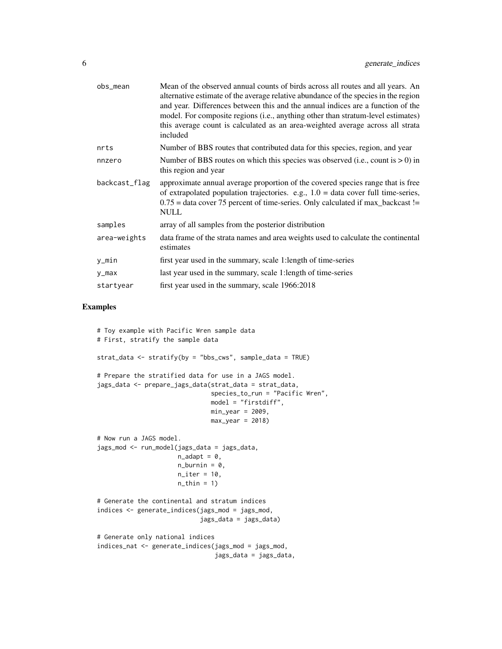| obs_mean      | Mean of the observed annual counts of birds across all routes and all years. An<br>alternative estimate of the average relative abundance of the species in the region<br>and year. Differences between this and the annual indices are a function of the<br>model. For composite regions (i.e., anything other than stratum-level estimates)<br>this average count is calculated as an area-weighted average across all strata<br>included |
|---------------|---------------------------------------------------------------------------------------------------------------------------------------------------------------------------------------------------------------------------------------------------------------------------------------------------------------------------------------------------------------------------------------------------------------------------------------------|
| nrts          | Number of BBS routes that contributed data for this species, region, and year                                                                                                                                                                                                                                                                                                                                                               |
| nnzero        | Number of BBS routes on which this species was observed (i.e., count is $> 0$ ) in<br>this region and year                                                                                                                                                                                                                                                                                                                                  |
| backcast_flag | approximate annual average proportion of the covered species range that is free<br>of extrapolated population trajectories. e.g., $1.0 =$ data cover full time-series,<br>$0.75$ = data cover 75 percent of time-series. Only calculated if max_backcast !=<br><b>NULL</b>                                                                                                                                                                  |
| samples       | array of all samples from the posterior distribution                                                                                                                                                                                                                                                                                                                                                                                        |
| area-weights  | data frame of the strata names and area weights used to calculate the continental<br>estimates                                                                                                                                                                                                                                                                                                                                              |
| y_min         | first year used in the summary, scale 1:length of time-series                                                                                                                                                                                                                                                                                                                                                                               |
| y_max         | last year used in the summary, scale 1:length of time-series                                                                                                                                                                                                                                                                                                                                                                                |
| startyear     | first year used in the summary, scale 1966:2018                                                                                                                                                                                                                                                                                                                                                                                             |

```
# Toy example with Pacific Wren sample data
# First, stratify the sample data
strat_data <- stratify(by = "bbs_cws", sample_data = TRUE)
# Prepare the stratified data for use in a JAGS model.
jags_data <- prepare_jags_data(strat_data = strat_data,
                               species_to_run = "Pacific Wren",
                               model = "firstdiff",
                               min_year = 2009,
                               max\_year = 2018)
# Now run a JAGS model.
jags_mod <- run_model(jags_data = jags_data,
                      n\_adapt = 0,
                      n_burnin = 0,
                      n<sub>l</sub>iter = 10,
                      n_{th}in = 1)
# Generate the continental and stratum indices
indices <- generate_indices(jags_mod = jags_mod,
                            jags_data = jags_data)
# Generate only national indices
indices_nat <- generate_indices(jags_mod = jags_mod,
                                jags_data = jags_data,
```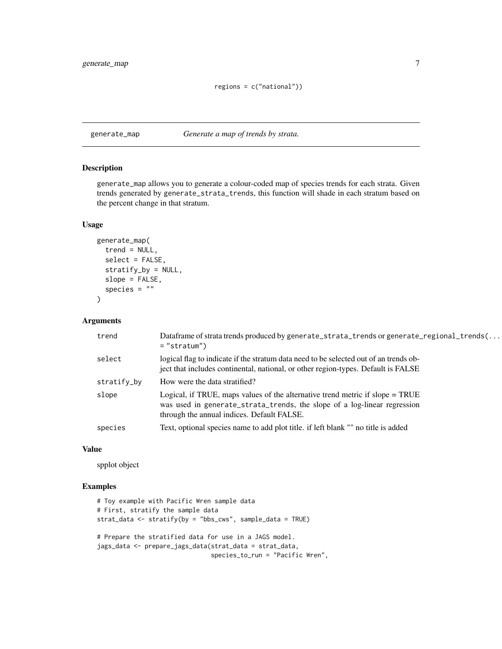<span id="page-6-0"></span>generate\_map *Generate a map of trends by strata.*

#### Description

generate\_map allows you to generate a colour-coded map of species trends for each strata. Given trends generated by generate\_strata\_trends, this function will shade in each stratum based on the percent change in that stratum.

#### Usage

```
generate_map(
  trend = NULL,
  select = FALSE,
  stratify_by = NULL,
  slope = FALSE,
  species = "")
```
#### Arguments

| trend       | Dataframe of strata trends produced by generate_strata_trends or generate_regional_trends(<br>$=$ "stratum")                                                                                            |
|-------------|---------------------------------------------------------------------------------------------------------------------------------------------------------------------------------------------------------|
| select      | logical flag to indicate if the stratum data need to be selected out of an trends ob-<br>ject that includes continental, national, or other region-types. Default is FALSE                              |
| stratify_by | How were the data stratified?                                                                                                                                                                           |
| slope       | Logical, if TRUE, maps values of the alternative trend metric if slope = TRUE<br>was used in generate_strata_trends, the slope of a log-linear regression<br>through the annual indices. Default FALSE. |
| species     | Text, optional species name to add plot title. if left blank "" no title is added                                                                                                                       |

#### Value

spplot object

```
# Toy example with Pacific Wren sample data
# First, stratify the sample data
strat_data <- stratify(by = "bbs_cws", sample_data = TRUE)
# Prepare the stratified data for use in a JAGS model.
jags_data <- prepare_jags_data(strat_data = strat_data,
                               species_to_run = "Pacific Wren",
```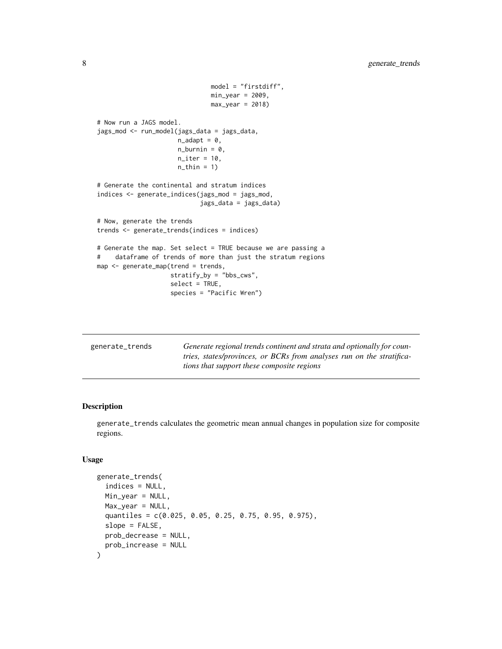```
model = "firstdiff",
                               min_year = 2009,
                               max\_year = 2018)
# Now run a JAGS model.
jags_mod <- run_model(jags_data = jags_data,
                      n\_adapt = 0,n_burnin = 0,
                      n<sub>l</sub>iter = 10,
                      n_{th}in = 1)
# Generate the continental and stratum indices
indices <- generate_indices(jags_mod = jags_mod,
                             jags_data = jags_data)
# Now, generate the trends
trends <- generate_trends(indices = indices)
# Generate the map. Set select = TRUE because we are passing a
# dataframe of trends of more than just the stratum regions
map <- generate_map(trend = trends,
                    stratify_by = "bbs_cws",
                    select = TRUE,
                    species = "Pacific Wren")
```

| generate_trends | Generate regional trends continent and strata and optionally for coun-<br>tries, states/provinces, or BCRs from analyses run on the stratifica- |
|-----------------|-------------------------------------------------------------------------------------------------------------------------------------------------|
|                 | tions that support these composite regions                                                                                                      |

generate\_trends calculates the geometric mean annual changes in population size for composite regions.

#### Usage

```
generate_trends(
  indices = NULL,
  Min_year = NULL,
  Max\_year = NULL,
  quantiles = c(0.025, 0.05, 0.25, 0.75, 0.95, 0.975),
  slope = FALSE,
  prob_decrease = NULL,
  prob_increase = NULL
)
```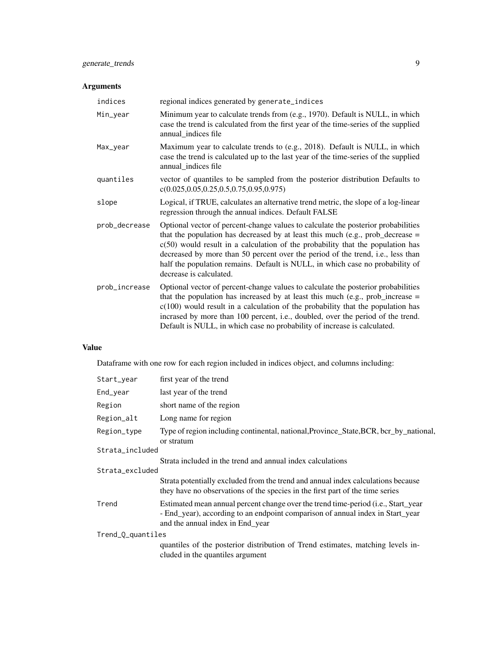#### generate\_trends 9

### Arguments

| indices       | regional indices generated by generate_indices                                                                                                                                                                                                                                                                                                                                                                                                           |
|---------------|----------------------------------------------------------------------------------------------------------------------------------------------------------------------------------------------------------------------------------------------------------------------------------------------------------------------------------------------------------------------------------------------------------------------------------------------------------|
| Min_year      | Minimum year to calculate trends from (e.g., 1970). Default is NULL, in which<br>case the trend is calculated from the first year of the time-series of the supplied<br>annual_indices file                                                                                                                                                                                                                                                              |
| Max_year      | Maximum year to calculate trends to (e.g., 2018). Default is NULL, in which<br>case the trend is calculated up to the last year of the time-series of the supplied<br>annual_indices file                                                                                                                                                                                                                                                                |
| quantiles     | vector of quantiles to be sampled from the posterior distribution Defaults to<br>$c(0.025, 0.05, 0.25, 0.5, 0.75, 0.95, 0.975)$                                                                                                                                                                                                                                                                                                                          |
| slope         | Logical, if TRUE, calculates an alternative trend metric, the slope of a log-linear<br>regression through the annual indices. Default FALSE                                                                                                                                                                                                                                                                                                              |
| prob_decrease | Optional vector of percent-change values to calculate the posterior probabilities<br>that the population has decreased by at least this much (e.g., prob_decrease $=$<br>$c(50)$ would result in a calculation of the probability that the population has<br>decreased by more than 50 percent over the period of the trend, i.e., less than<br>half the population remains. Default is NULL, in which case no probability of<br>decrease is calculated. |
| prob_increase | Optional vector of percent-change values to calculate the posterior probabilities<br>that the population has increased by at least this much (e.g., prob_increase $=$<br>$c(100)$ would result in a calculation of the probability that the population has<br>incrased by more than 100 percent, i.e., doubled, over the period of the trend.<br>Default is NULL, in which case no probability of increase is calculated.                                |

#### Value

Dataframe with one row for each region included in indices object, and columns including:

| Start_year        | first year of the trend                                                                                                                                                                                 |
|-------------------|---------------------------------------------------------------------------------------------------------------------------------------------------------------------------------------------------------|
| End_year          | last year of the trend                                                                                                                                                                                  |
| Region            | short name of the region                                                                                                                                                                                |
| Region_alt        | Long name for region                                                                                                                                                                                    |
| Region_type       | Type of region including continental, national, Province_State, BCR, bcr_by_national,<br>or stratum                                                                                                     |
| Strata_included   |                                                                                                                                                                                                         |
|                   | Strata included in the trend and annual index calculations                                                                                                                                              |
| Strata_excluded   |                                                                                                                                                                                                         |
|                   | Strata potentially excluded from the trend and annual index calculations because<br>they have no observations of the species in the first part of the time series                                       |
| Trend             | Estimated mean annual percent change over the trend time-period (i.e., Start_year<br>- End_year), according to an endpoint comparison of annual index in Start_year<br>and the annual index in End_year |
| Trend_Q_quantiles |                                                                                                                                                                                                         |
|                   | quantiles of the posterior distribution of Trend estimates, matching levels in-<br>cluded in the quantiles argument                                                                                     |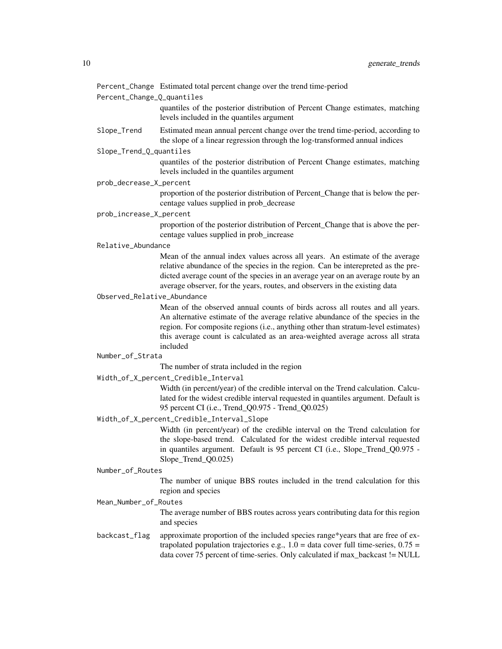Percent\_Change\_Q\_quantiles

quantiles of the posterior distribution of Percent Change estimates, matching levels included in the quantiles argument

Slope\_Trend Estimated mean annual percent change over the trend time-period, according to the slope of a linear regression through the log-transformed annual indices

Slope\_Trend\_Q\_quantiles

quantiles of the posterior distribution of Percent Change estimates, matching levels included in the quantiles argument

prob\_decrease\_X\_percent

proportion of the posterior distribution of Percent\_Change that is below the percentage values supplied in prob\_decrease

#### prob\_increase\_X\_percent

proportion of the posterior distribution of Percent\_Change that is above the percentage values supplied in prob\_increase

#### Relative\_Abundance

Mean of the annual index values across all years. An estimate of the average relative abundance of the species in the region. Can be interepreted as the predicted average count of the species in an average year on an average route by an average observer, for the years, routes, and observers in the existing data

#### Observed\_Relative\_Abundance

Mean of the observed annual counts of birds across all routes and all years. An alternative estimate of the average relative abundance of the species in the region. For composite regions (i.e., anything other than stratum-level estimates) this average count is calculated as an area-weighted average across all strata included

#### Number\_of\_Strata

The number of strata included in the region

Width\_of\_X\_percent\_Credible\_Interval

Width (in percent/year) of the credible interval on the Trend calculation. Calculated for the widest credible interval requested in quantiles argument. Default is 95 percent CI (i.e., Trend\_Q0.975 - Trend\_Q0.025)

#### Width\_of\_X\_percent\_Credible\_Interval\_Slope

Width (in percent/year) of the credible interval on the Trend calculation for the slope-based trend. Calculated for the widest credible interval requested in quantiles argument. Default is 95 percent CI (i.e., Slope\_Trend\_Q0.975 - Slope\_Trend\_Q0.025)

#### Number\_of\_Routes

The number of unique BBS routes included in the trend calculation for this region and species

#### Mean\_Number\_of\_Routes

The average number of BBS routes across years contributing data for this region and species

#### backcast\_flag approximate proportion of the included species range\*years that are free of extrapolated population trajectories e.g.,  $1.0 =$  data cover full time-series,  $0.75 =$ data cover 75 percent of time-series. Only calculated if max\_backcast != NULL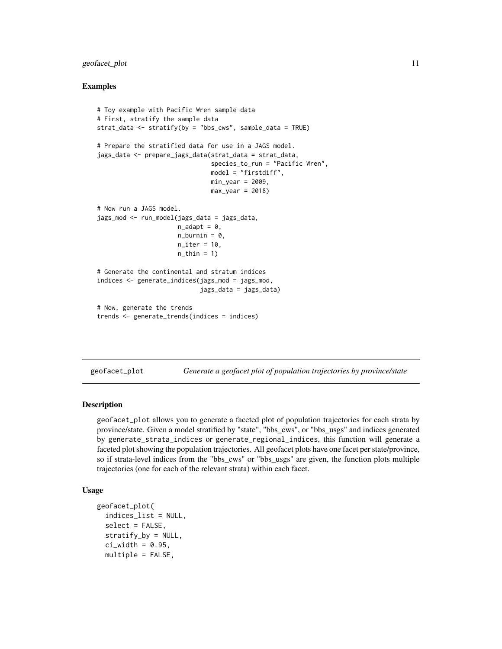#### <span id="page-10-0"></span>geofacet\_plot 11

#### Examples

```
# Toy example with Pacific Wren sample data
# First, stratify the sample data
strat_data <- stratify(by = "bbs_cws", sample_data = TRUE)
# Prepare the stratified data for use in a JAGS model.
jags_data <- prepare_jags_data(strat_data = strat_data,
                                species_to_run = "Pacific Wren",
                                model = "firstdiff",
                                min_year = 2009,
                                max\_year = 2018# Now run a JAGS model.
jags_mod <- run_model(jags_data = jags_data,
                      n\_adapt = 0,
                      n_burnin = 0,
                      n<sub>-</sub>iter = 10.
                      n_{th}in = 1)
# Generate the continental and stratum indices
indices <- generate_indices(jags_mod = jags_mod,
                             jags_data = jags_data)
# Now, generate the trends
trends <- generate_trends(indices = indices)
```
geofacet\_plot *Generate a geofacet plot of population trajectories by province/state*

#### Description

geofacet\_plot allows you to generate a faceted plot of population trajectories for each strata by province/state. Given a model stratified by "state", "bbs\_cws", or "bbs\_usgs" and indices generated by generate\_strata\_indices or generate\_regional\_indices, this function will generate a faceted plot showing the population trajectories. All geofacet plots have one facet per state/province, so if strata-level indices from the "bbs\_cws" or "bbs\_usgs" are given, the function plots multiple trajectories (one for each of the relevant strata) within each facet.

#### Usage

```
geofacet_plot(
  indices_list = NULL,
  select = FALSE,
  stratify_by = NULL,
  ci\_width = 0.95,multiple = FALSE,
```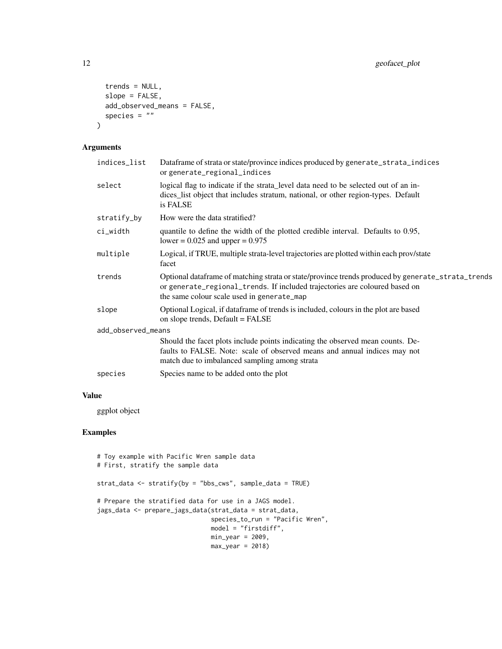```
trends = NULL,
 slope = FALSE,
 add_observed_means = FALSE,
 species = "")
```
#### Arguments

| indices_list       | Dataframe of strata or state/province indices produced by generate_strata_indices<br>or generate_regional_indices                                                                                                              |
|--------------------|--------------------------------------------------------------------------------------------------------------------------------------------------------------------------------------------------------------------------------|
| select             | logical flag to indicate if the strata level data need to be selected out of an in-<br>dices_list object that includes stratum, national, or other region-types. Default<br>is FALSE                                           |
| stratify_by        | How were the data stratified?                                                                                                                                                                                                  |
| ci_width           | quantile to define the width of the plotted credible interval. Defaults to 0.95,<br>lower = $0.025$ and upper = $0.975$                                                                                                        |
| multiple           | Logical, if TRUE, multiple strata-level trajectories are plotted within each prov/state<br>facet                                                                                                                               |
| trends             | Optional dataframe of matching strata or state/province trends produced by generate_strata_trends<br>or generate_regional_trends. If included trajectories are coloured based on<br>the same colour scale used in generate_map |
| slope              | Optional Logical, if dataframe of trends is included, colours in the plot are based<br>on slope trends, Default = FALSE                                                                                                        |
| add_observed_means |                                                                                                                                                                                                                                |
|                    | Should the facet plots include points indicating the observed mean counts. De-<br>faults to FALSE. Note: scale of observed means and annual indices may not<br>match due to imbalanced sampling among strata                   |
| species            | Species name to be added onto the plot                                                                                                                                                                                         |
|                    |                                                                                                                                                                                                                                |

#### Value

ggplot object

```
# Toy example with Pacific Wren sample data
# First, stratify the sample data
strat_data <- stratify(by = "bbs_cws", sample_data = TRUE)
# Prepare the stratified data for use in a JAGS model.
jags_data <- prepare_jags_data(strat_data = strat_data,
                               species_to_run = "Pacific Wren",
                               model = "firstdiff",
                               min\_year = 2009,max\_year = 2018
```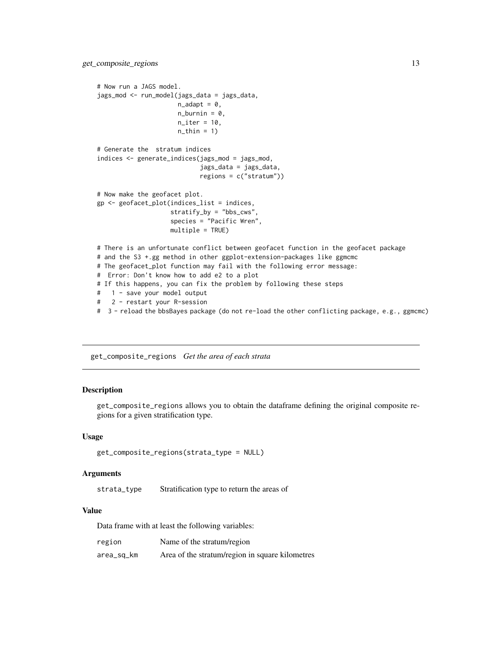```
# Now run a JAGS model.
jags_mod <- run_model(jags_data = jags_data,
                      n\_adapt = 0,
                      n_burnin = 0,
                      n<sub>_iter</sub> = 10,
                      n_{th}in = 1)
# Generate the stratum indices
indices <- generate_indices(jags_mod = jags_mod,
                            jags_data = jags_data,
                            regions = c("stratum"))
# Now make the geofacet plot.
gp <- geofacet_plot(indices_list = indices,
                    stratify_by = "bbs_cws"
                    species = "Pacific Wren",
                    multiple = TRUE)
# There is an unfortunate conflict between geofacet function in the geofacet package
# and the S3 +.gg method in other ggplot-extension-packages like ggmcmc
# The geofacet_plot function may fail with the following error message:
# Error: Don't know how to add e2 to a plot
# If this happens, you can fix the problem by following these steps
# 1 - save your model output
# 2 - restart your R-session
# 3 - reload the bbsBayes package (do not re-load the other conflicting package, e.g., ggmcmc)
```
get\_composite\_regions *Get the area of each strata*

#### Description

get\_composite\_regions allows you to obtain the dataframe defining the original composite regions for a given stratification type.

#### Usage

```
get_composite_regions(strata_type = NULL)
```
#### Arguments

strata\_type Stratification type to return the areas of

#### Value

Data frame with at least the following variables:

| region     | Name of the stratum/region                      |
|------------|-------------------------------------------------|
| area_sq_km | Area of the stratum/region in square kilometres |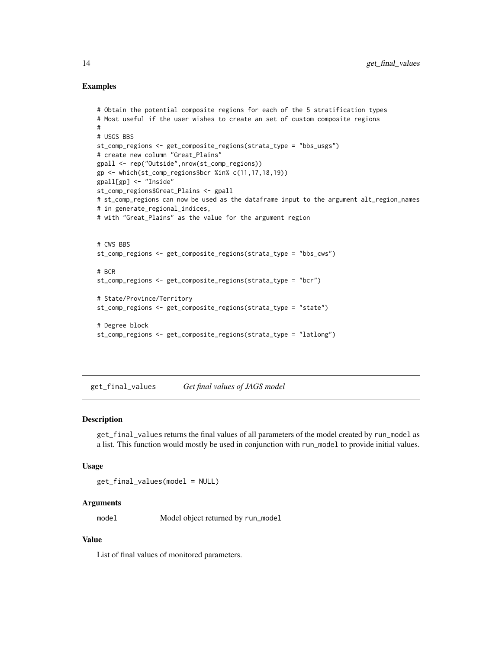#### <span id="page-13-0"></span>Examples

```
# Obtain the potential composite regions for each of the 5 stratification types
# Most useful if the user wishes to create an set of custom composite regions
#
# USGS BBS
st_comp_regions <- get_composite_regions(strata_type = "bbs_usgs")
# create new column "Great_Plains"
gpall <- rep("Outside",nrow(st_comp_regions))
gp <- which(st_comp_regions$bcr %in% c(11,17,18,19))
gpall[gp] <- "Inside"
st_comp_regions$Great_Plains <- gpall
# st_comp_regions can now be used as the dataframe input to the argument alt_region_names
# in generate_regional_indices,
# with "Great_Plains" as the value for the argument region
# CWS BBS
st_comp_regions <- get_composite_regions(strata_type = "bbs_cws")
# BCR
st_comp_regions <- get_composite_regions(strata_type = "bcr")
# State/Province/Territory
st_comp_regions <- get_composite_regions(strata_type = "state")
# Degree block
st_comp_regions <- get_composite_regions(strata_type = "latlong")
```
get\_final\_values *Get final values of JAGS model*

#### Description

get\_final\_values returns the final values of all parameters of the model created by run\_model as a list. This function would mostly be used in conjunction with run\_model to provide initial values.

#### Usage

get\_final\_values(model = NULL)

#### Arguments

model Model object returned by run\_model

#### Value

List of final values of monitored parameters.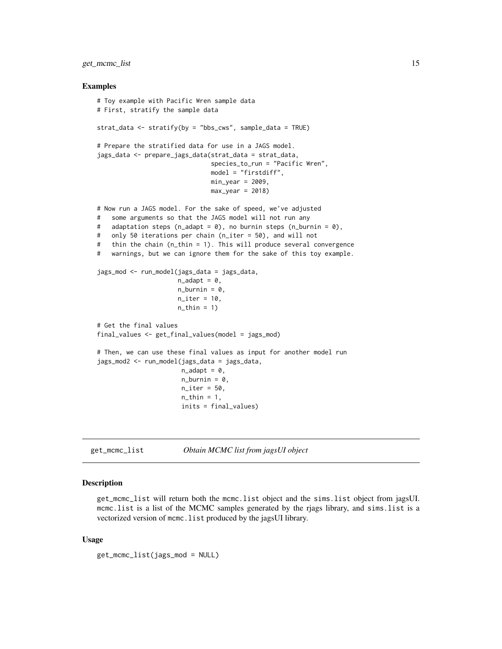<span id="page-14-0"></span>get\_mcmc\_list 15

#### Examples

```
# Toy example with Pacific Wren sample data
# First, stratify the sample data
strat_data <- stratify(by = "bbs_cws", sample_data = TRUE)
# Prepare the stratified data for use in a JAGS model.
jags_data <- prepare_jags_data(strat_data = strat_data,
                               species_to_run = "Pacific Wren",
                               model = "firstdiff",
                               min_year = 2009,
                               max\_year = 2018# Now run a JAGS model. For the sake of speed, we've adjusted
# some arguments so that the JAGS model will not run any
# adaptation steps (n_adapt = 0), no burnin steps (n_burnin = 0),
# only 50 iterations per chain (n_iter = 50), and will not
# thin the chain (n_thin = 1). This will produce several convergence
# warnings, but we can ignore them for the sake of this toy example.
jags_mod <- run_model(jags_data = jags_data,
                      n\_adapt = 0,
                      n_burnin = 0,
                      n<sub>_iter</sub> = 10,
                      n_{th}in = 1)
# Get the final values
final_values <- get_final_values(model = jags_mod)
# Then, we can use these final values as input for another model run
jags_mod2 <- run_model(jags_data = jags_data,
                       n\_adapt = 0,
                       n_burnin = 0,
                       n<sub>-iter</sub> = 50,
                       n_{th}in = 1,
                       inits = final_values)
```
get\_mcmc\_list *Obtain MCMC list from jagsUI object*

#### Description

get\_mcmc\_list will return both the mcmc.list object and the sims.list object from jagsUI. mcmc.list is a list of the MCMC samples generated by the rjags library, and sims.list is a vectorized version of mcmc.list produced by the jagsUI library.

#### Usage

```
get_mcmc_list(jags_mod = NULL)
```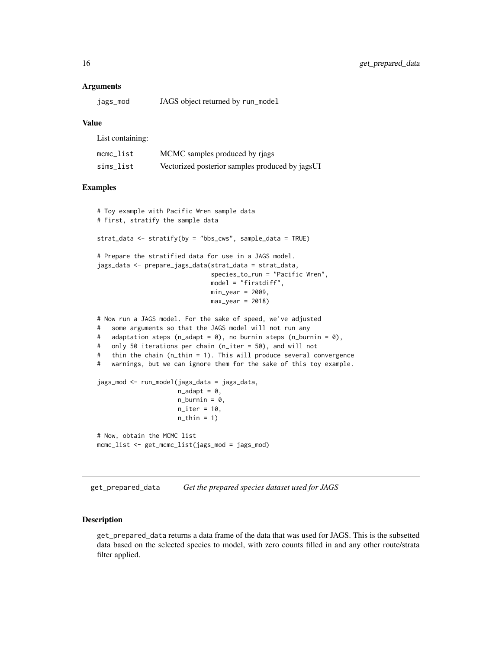#### <span id="page-15-0"></span>**Arguments**

| jags_mod | JAGS object returned by run_model |  |
|----------|-----------------------------------|--|
|          |                                   |  |

#### Value

List containing:

| mcmc list | MCMC samples produced by rjags                  |
|-----------|-------------------------------------------------|
| sims list | Vectorized posterior samples produced by jagsUI |

#### Examples

```
# Toy example with Pacific Wren sample data
# First, stratify the sample data
strat_data <- stratify(by = "bbs_cws", sample_data = TRUE)
# Prepare the stratified data for use in a JAGS model.
jags_data <- prepare_jags_data(strat_data = strat_data,
                               species_to_run = "Pacific Wren",
                               model = "firstdiff",
                               min_year = 2009,
                               max\_year = 2018)
# Now run a JAGS model. For the sake of speed, we've adjusted
# some arguments so that the JAGS model will not run any
# adaptation steps (n_adapt = 0), no burnin steps (n_burnin = 0),
# only 50 iterations per chain (n_iter = 50), and will not
# thin the chain (n_thin = 1). This will produce several convergence
# warnings, but we can ignore them for the sake of this toy example.
jags_mod <- run_model(jags_data = jags_data,
                      n\_adapt = 0,n_burnin = 0,
                      n<sub>iter</sub> = 10,
                      n_{th}in = 1)
# Now, obtain the MCMC list
mcmc_list <- get_mcmc_list(jags_mod = jags_mod)
```
get\_prepared\_data *Get the prepared species dataset used for JAGS*

#### Description

get\_prepared\_data returns a data frame of the data that was used for JAGS. This is the subsetted data based on the selected species to model, with zero counts filled in and any other route/strata filter applied.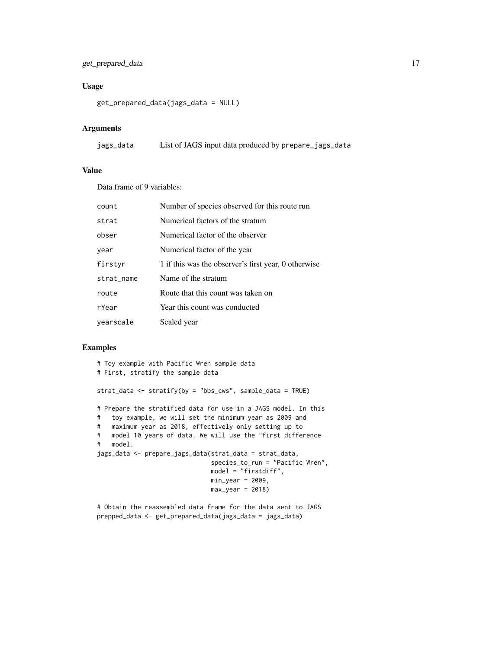#### get\_prepared\_data 17

#### Usage

```
get_prepared_data(jags_data = NULL)
```
#### Arguments

| jags_data | List of JAGS input data produced by prepare_jags_data |  |  |  |  |
|-----------|-------------------------------------------------------|--|--|--|--|
|-----------|-------------------------------------------------------|--|--|--|--|

#### Value

Data frame of 9 variables:

| count      | Number of species observed for this route run        |
|------------|------------------------------------------------------|
| strat      | Numerical factors of the stratum                     |
| obser      | Numerical factor of the observer                     |
| year       | Numerical factor of the year                         |
| firstyr    | 1 if this was the observer's first year, 0 otherwise |
| strat_name | Name of the stratum                                  |
| route      | Route that this count was taken on                   |
| rYear      | Year this count was conducted                        |
| yearscale  | Scaled year                                          |

#### Examples

```
# Toy example with Pacific Wren sample data
# First, stratify the sample data
strat_data <- stratify(by = "bbs_cws", sample_data = TRUE)
# Prepare the stratified data for use in a JAGS model. In this
# toy example, we will set the minimum year as 2009 and
# maximum year as 2018, effectively only setting up to
# model 10 years of data. We will use the "first difference
# model.
jags_data <- prepare_jags_data(strat_data = strat_data,
                               species_to_run = "Pacific Wren",
                               model = "firstdiff",
                              min\_year = 2009,
                              max\_year = 2018)
```
# Obtain the reassembled data frame for the data sent to JAGS prepped\_data <- get\_prepared\_data(jags\_data = jags\_data)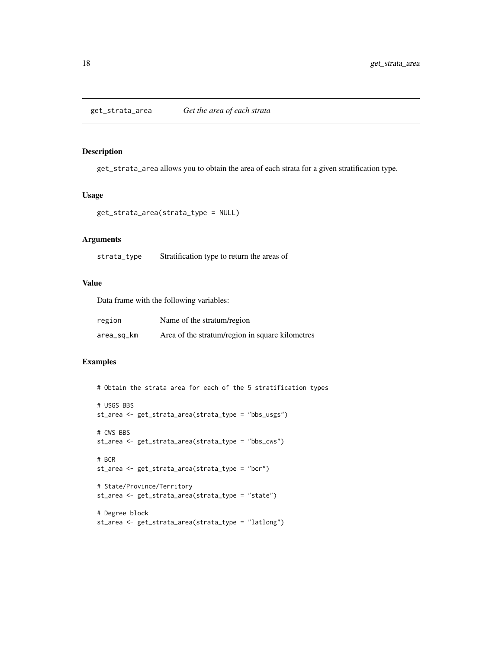<span id="page-17-0"></span>get\_strata\_area allows you to obtain the area of each strata for a given stratification type.

#### Usage

```
get_strata_area(strata_type = NULL)
```
#### Arguments

strata\_type Stratification type to return the areas of

#### Value

Data frame with the following variables:

| region     | Name of the stratum/region                      |
|------------|-------------------------------------------------|
| area_sq_km | Area of the stratum/region in square kilometres |

```
# Obtain the strata area for each of the 5 stratification types
# USGS BBS
st_area <- get_strata_area(strata_type = "bbs_usgs")
# CWS BBS
st_area <- get_strata_area(strata_type = "bbs_cws")
# BCR
st_area <- get_strata_area(strata_type = "bcr")
# State/Province/Territory
st_area <- get_strata_area(strata_type = "state")
# Degree block
st_area <- get_strata_area(strata_type = "latlong")
```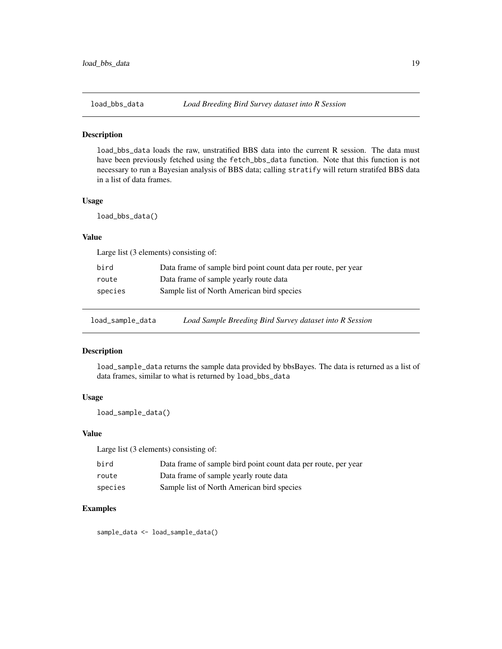<span id="page-18-0"></span>

load\_bbs\_data loads the raw, unstratified BBS data into the current R session. The data must have been previously fetched using the fetch\_bbs\_data function. Note that this function is not necessary to run a Bayesian analysis of BBS data; calling stratify will return stratifed BBS data in a list of data frames.

#### Usage

load\_bbs\_data()

#### Value

Large list (3 elements) consisting of:

| bird    | Data frame of sample bird point count data per route, per year |
|---------|----------------------------------------------------------------|
| route   | Data frame of sample yearly route data                         |
| species | Sample list of North American bird species                     |

load\_sample\_data *Load Sample Breeding Bird Survey dataset into R Session*

#### Description

load\_sample\_data returns the sample data provided by bbsBayes. The data is returned as a list of data frames, similar to what is returned by load\_bbs\_data

#### Usage

load\_sample\_data()

#### Value

Large list (3 elements) consisting of:

| bird    | Data frame of sample bird point count data per route, per year |
|---------|----------------------------------------------------------------|
| route   | Data frame of sample yearly route data                         |
| species | Sample list of North American bird species                     |

#### Examples

sample\_data <- load\_sample\_data()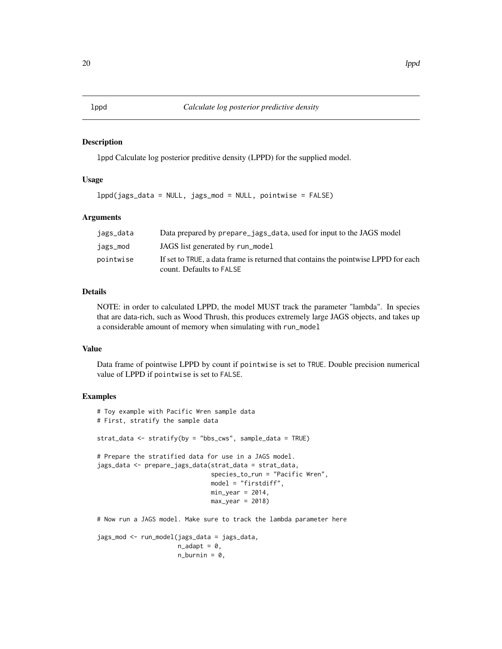lppd Calculate log posterior preditive density (LPPD) for the supplied model.

#### Usage

lppd(jags\_data = NULL, jags\_mod = NULL, pointwise = FALSE)

#### Arguments

| jags_data | Data prepared by prepare_jags_data, used for input to the JAGS model                                           |
|-----------|----------------------------------------------------------------------------------------------------------------|
| jags_mod  | JAGS list generated by run_model                                                                               |
| pointwise | If set to TRUE, a data frame is returned that contains the pointwise LPPD for each<br>count. Defaults to FALSE |

#### Details

NOTE: in order to calculated LPPD, the model MUST track the parameter "lambda". In species that are data-rich, such as Wood Thrush, this produces extremely large JAGS objects, and takes up a considerable amount of memory when simulating with run\_model

#### Value

Data frame of pointwise LPPD by count if pointwise is set to TRUE. Double precision numerical value of LPPD if pointwise is set to FALSE.

```
# Toy example with Pacific Wren sample data
# First, stratify the sample data
strat_data <- stratify(by = "bbs_cws", sample_data = TRUE)
# Prepare the stratified data for use in a JAGS model.
jags_data <- prepare_jags_data(strat_data = strat_data,
                               species_to_run = "Pacific Wren",
                               model = "firstdiff",
                               min\_year = 2014,max\_year = 2018# Now run a JAGS model. Make sure to track the lambda parameter here
jags_mod <- run_model(jags_data = jags_data,
                      n\_adapt = 0,
                      n_burnin = 0,
```
<span id="page-19-0"></span>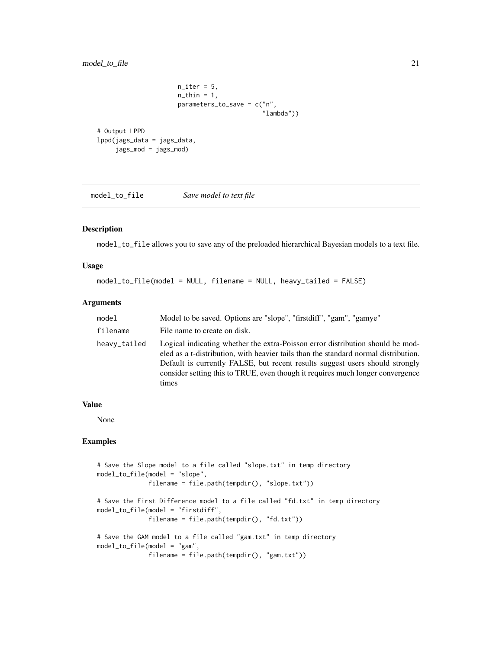```
n<sub>-iter</sub> = 5,
                         n_{\text{th}}in = 1,
                         parameters_to_save = c("n",
                                                     "lambda"))
# Output LPPD
lppd(jags_data = jags_data,
     jags_mod = jags_mod)
```
model\_to\_file *Save model to text file*

#### Description

model\_to\_file allows you to save any of the preloaded hierarchical Bayesian models to a text file.

#### Usage

model\_to\_file(model = NULL, filename = NULL, heavy\_tailed = FALSE)

#### Arguments

| model        | Model to be saved. Options are "slope", "first diff", "gam", "gamye"                                                                                                                                                                                                                                                                             |
|--------------|--------------------------------------------------------------------------------------------------------------------------------------------------------------------------------------------------------------------------------------------------------------------------------------------------------------------------------------------------|
| filename     | File name to create on disk.                                                                                                                                                                                                                                                                                                                     |
| heavy_tailed | Logical indicating whether the extra-Poisson error distribution should be mod-<br>eled as a t-distribution, with heavier tails than the standard normal distribution.<br>Default is currently FALSE, but recent results suggest users should strongly<br>consider setting this to TRUE, even though it requires much longer convergence<br>times |

#### Value

None

```
# Save the Slope model to a file called "slope.txt" in temp directory
model_to_file(model = "slope",
              filename = file.path(tempdir(), "slope.txt"))
# Save the First Difference model to a file called "fd.txt" in temp directory
model_to_file(model = "firstdiff",
              filename = file.path(tempdir(), "fd.txt"))
# Save the GAM model to a file called "gam.txt" in temp directory
model_to_file(model = "gam",
             filename = file.path(tempdir(), "gam.txt"))
```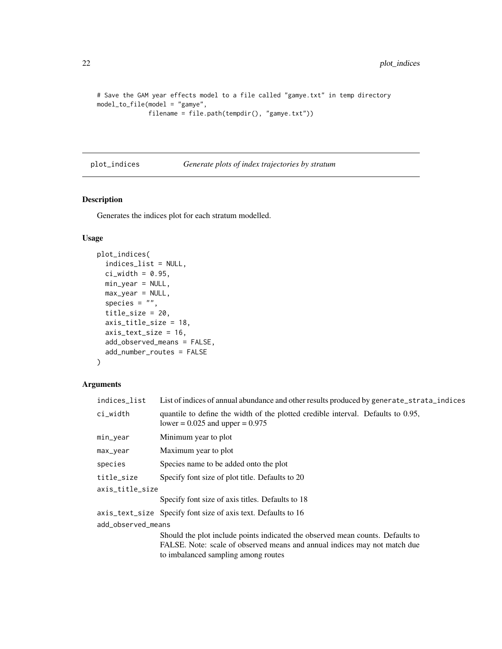```
# Save the GAM year effects model to a file called "gamye.txt" in temp directory
model_to_file(model = "gamye",
              filename = file.path(tempdir(), "gamye.txt"))
```
#### plot\_indices *Generate plots of index trajectories by stratum*

#### Description

Generates the indices plot for each stratum modelled.

#### Usage

```
plot_indices(
  indices_list = NULL,
  ci\_width = 0.95,min_year = NULL,
 max_year = NULL,
  species = ",
  title_size = 20,
  axis_title_size = 18,
  axis_text_size = 16,
  add_observed_means = FALSE,
 add_number_routes = FALSE
\mathcal{L}
```
#### Arguments

| indices_list       | List of indices of annual abundance and other results produced by generate_strata_indices                               |
|--------------------|-------------------------------------------------------------------------------------------------------------------------|
| ci_width           | quantile to define the width of the plotted credible interval. Defaults to 0.95,<br>lower = $0.025$ and upper = $0.975$ |
| min_year           | Minimum year to plot                                                                                                    |
| max_year           | Maximum year to plot                                                                                                    |
| species            | Species name to be added onto the plot                                                                                  |
| title_size         | Specify font size of plot title. Defaults to 20                                                                         |
| axis_title_size    |                                                                                                                         |
|                    | Specify font size of axis titles. Defaults to 18                                                                        |
|                    | axis_text_size Specify font size of axis text. Defaults to 16                                                           |
| add_observed_means |                                                                                                                         |
|                    | Should the plot include points indicated the observed mean counts. Defaults to                                          |
|                    | FALSE. Note: scale of observed means and annual indices may not match due                                               |
|                    | to imbalanced sampling among routes                                                                                     |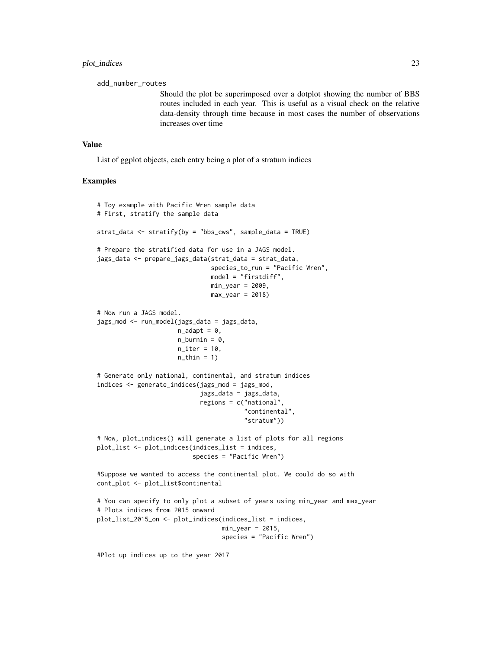add\_number\_routes

Should the plot be superimposed over a dotplot showing the number of BBS routes included in each year. This is useful as a visual check on the relative data-density through time because in most cases the number of observations increases over time

#### Value

List of ggplot objects, each entry being a plot of a stratum indices

#### Examples

```
# Toy example with Pacific Wren sample data
# First, stratify the sample data
strat_data <- stratify(by = "bbs_cws", sample_data = TRUE)
# Prepare the stratified data for use in a JAGS model.
jags_data <- prepare_jags_data(strat_data = strat_data,
                                species_to_run = "Pacific Wren",
                                model = "firstdiff",
                               min\_year = 2009,
                               max\_year = 2018# Now run a JAGS model.
jags_mod <- run_model(jags_data = jags_data,
                      n\_adapt = 0,
                      n_burnin = 0,
                      n<sub>l</sub>iter = 10,
                      n_{th}in = 1)
# Generate only national, continental, and stratum indices
indices <- generate_indices(jags_mod = jags_mod,
                            jags_data = jags_data,
                            regions = c("national",
                                         "continental",
                                         "stratum"))
# Now, plot_indices() will generate a list of plots for all regions
plot_list <- plot_indices(indices_list = indices,
                          species = "Pacific Wren")
#Suppose we wanted to access the continental plot. We could do so with
cont_plot <- plot_list$continental
# You can specify to only plot a subset of years using min_year and max_year
# Plots indices from 2015 onward
plot_list_2015_on <- plot_indices(indices_list = indices,
                                  min\_year = 2015,
                                   species = "Pacific Wren")
```
#Plot up indices up to the year 2017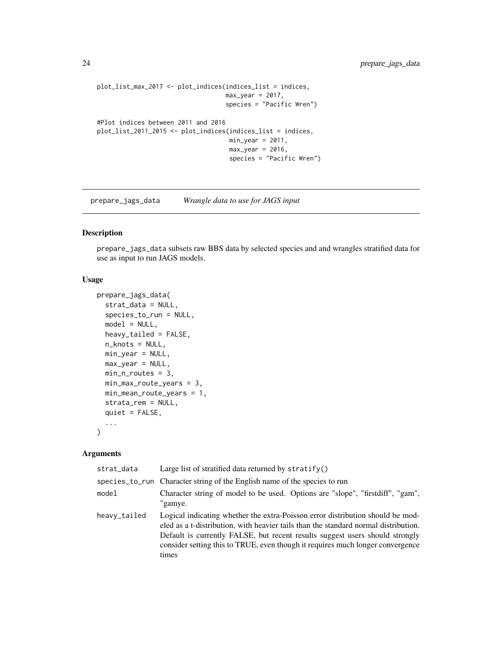```
plot_list_max_2017 <- plot_indices(indices_list = indices,
                                   max\_year = 2017,
                                   species = "Pacific Wren")
#Plot indices between 2011 and 2016
plot_list_2011_2015 <- plot_indices(indices_list = indices,
                                    min\_year = 2011,max\_year = 2016,
                                    species = "Pacific Wren")
```
prepare\_jags\_data *Wrangle data to use for JAGS input*

#### Description

prepare\_jags\_data subsets raw BBS data by selected species and and wrangles stratified data for use as input to run JAGS models.

#### Usage

```
prepare_jags_data(
  strat_data = NULL,
  species_to_run = NULL,
  model = NULL,heavy_tailed = FALSE,
  n_knots = NULL,
 min_year = NULL,
 max_year = NULL,
 min_n_routes = 3,
 min_max_route_years = 3,
 min_mean_route_years = 1,
  strata_rem = NULL,
  quiet = FALSE,...
\mathcal{L}
```
#### Arguments

| strat_data   | Large list of stratified data returned by $stratify()$                                                                                                                                                                                                                                                                                           |
|--------------|--------------------------------------------------------------------------------------------------------------------------------------------------------------------------------------------------------------------------------------------------------------------------------------------------------------------------------------------------|
|              | species_to_run Character string of the English name of the species to run                                                                                                                                                                                                                                                                        |
| model        | Character string of model to be used. Options are "slope", "firstdiff", "gam",<br>"gamye.                                                                                                                                                                                                                                                        |
| heavy_tailed | Logical indicating whether the extra-Poisson error distribution should be mod-<br>eled as a t-distribution, with heavier tails than the standard normal distribution.<br>Default is currently FALSE, but recent results suggest users should strongly<br>consider setting this to TRUE, even though it requires much longer convergence<br>times |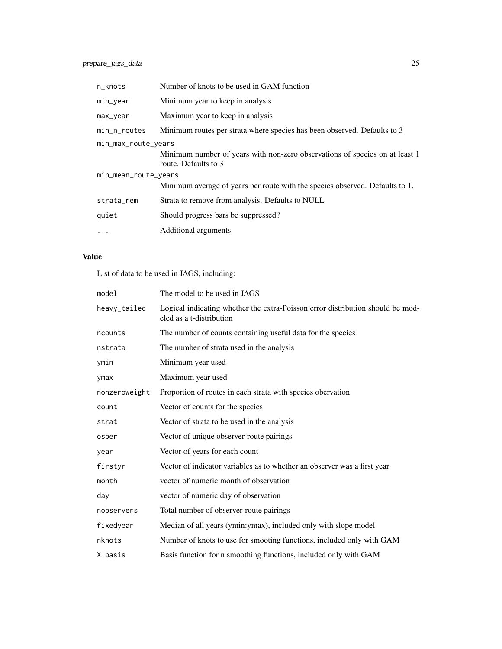| n_knots                                                                                              | Number of knots to be used in GAM function                                                          |  |
|------------------------------------------------------------------------------------------------------|-----------------------------------------------------------------------------------------------------|--|
| min_year                                                                                             | Minimum year to keep in analysis                                                                    |  |
| max_year                                                                                             | Maximum year to keep in analysis                                                                    |  |
| min_n_routes                                                                                         | Minimum routes per strata where species has been observed. Defaults to 3                            |  |
| min_max_route_years                                                                                  | Minimum number of years with non-zero observations of species on at least 1<br>route. Defaults to 3 |  |
| min_mean_route_years<br>Minimum average of years per route with the species observed. Defaults to 1. |                                                                                                     |  |
| strata_rem                                                                                           | Strata to remove from analysis. Defaults to NULL                                                    |  |
| quiet                                                                                                | Should progress bars be suppressed?                                                                 |  |
| $\ddots$                                                                                             | Additional arguments                                                                                |  |

#### Value

List of data to be used in JAGS, including:

| model         | The model to be used in JAGS                                                                               |  |
|---------------|------------------------------------------------------------------------------------------------------------|--|
| heavy_tailed  | Logical indicating whether the extra-Poisson error distribution should be mod-<br>eled as a t-distribution |  |
| ncounts       | The number of counts containing useful data for the species                                                |  |
| nstrata       | The number of strata used in the analysis                                                                  |  |
| ymin          | Minimum year used                                                                                          |  |
| ymax          | Maximum year used                                                                                          |  |
| nonzeroweight | Proportion of routes in each strata with species obervation                                                |  |
| count         | Vector of counts for the species                                                                           |  |
| strat         | Vector of strata to be used in the analysis                                                                |  |
| osber         | Vector of unique observer-route pairings                                                                   |  |
| year          | Vector of years for each count                                                                             |  |
| firstyr       | Vector of indicator variables as to whether an observer was a first year                                   |  |
| month         | vector of numeric month of observation                                                                     |  |
| day           | vector of numeric day of observation                                                                       |  |
| nobservers    | Total number of observer-route pairings                                                                    |  |
| fixedyear     | Median of all years (ymin:ymax), included only with slope model                                            |  |
| nknots        | Number of knots to use for smooting functions, included only with GAM                                      |  |
| X.basis       | Basis function for n smoothing functions, included only with GAM                                           |  |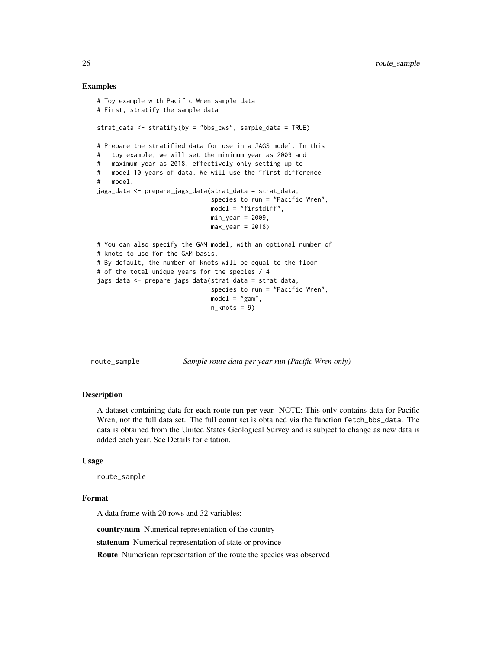#### Examples

```
# Toy example with Pacific Wren sample data
# First, stratify the sample data
strat_data <- stratify(by = "bbs_cws", sample_data = TRUE)
# Prepare the stratified data for use in a JAGS model. In this
# toy example, we will set the minimum year as 2009 and
# maximum year as 2018, effectively only setting up to
# model 10 years of data. We will use the "first difference
# model.
jags_data <- prepare_jags_data(strat_data = strat_data,
                              species_to_run = "Pacific Wren",
                               model = "firstdiff",
                              min\_year = 2009,
                              max\_year = 2018# You can also specify the GAM model, with an optional number of
# knots to use for the GAM basis.
# By default, the number of knots will be equal to the floor
# of the total unique years for the species / 4
jags_data <- prepare_jags_data(strat_data = strat_data,
                               species_to_run = "Pacific Wren",
                               model = "gam",n_knots = 9
```
route\_sample *Sample route data per year run (Pacific Wren only)*

#### Description

A dataset containing data for each route run per year. NOTE: This only contains data for Pacific Wren, not the full data set. The full count set is obtained via the function fetch\_bbs\_data. The data is obtained from the United States Geological Survey and is subject to change as new data is added each year. See Details for citation.

#### Usage

route\_sample

#### Format

A data frame with 20 rows and 32 variables:

countrynum Numerical representation of the country

statenum Numerical representation of state or province

Route Numerican representation of the route the species was observed

<span id="page-25-0"></span>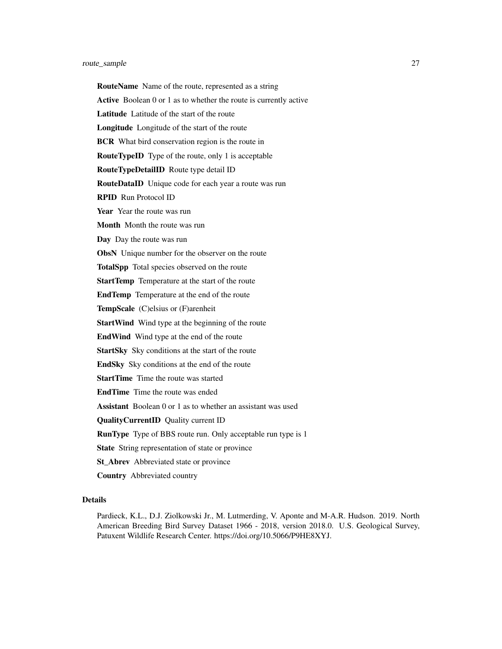#### route\_sample 27

RouteName Name of the route, represented as a string Active Boolean 0 or 1 as to whether the route is currently active Latitude Latitude of the start of the route Longitude Longitude of the start of the route **BCR** What bird conservation region is the route in RouteTypeID Type of the route, only 1 is acceptable RouteTypeDetailID Route type detail ID RouteDataID Unique code for each year a route was run RPID Run Protocol ID Year Year the route was run Month Month the route was run Day Day the route was run **ObsN** Unique number for the observer on the route TotalSpp Total species observed on the route StartTemp Temperature at the start of the route EndTemp Temperature at the end of the route TempScale (C)elsius or (F)arenheit **StartWind** Wind type at the beginning of the route EndWind Wind type at the end of the route StartSky Sky conditions at the start of the route EndSky Sky conditions at the end of the route StartTime Time the route was started EndTime Time the route was ended Assistant Boolean 0 or 1 as to whether an assistant was used QualityCurrentID Quality current ID **RunType** Type of BBS route run. Only acceptable run type is 1 State String representation of state or province St\_Abrev Abbreviated state or province Country Abbreviated country Details

Pardieck, K.L., D.J. Ziolkowski Jr., M. Lutmerding, V. Aponte and M-A.R. Hudson. 2019. North American Breeding Bird Survey Dataset 1966 - 2018, version 2018.0. U.S. Geological Survey, Patuxent Wildlife Research Center. https://doi.org/10.5066/P9HE8XYJ.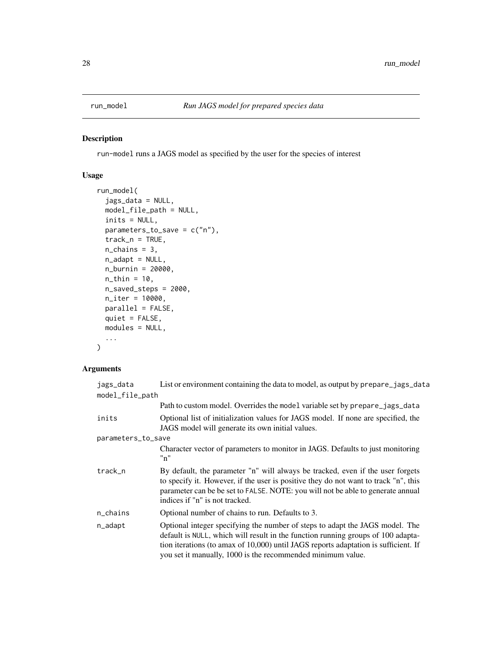<span id="page-27-0"></span>

run-model runs a JAGS model as specified by the user for the species of interest

#### Usage

```
run_model(
  jags_data = NULL,
 model_file_path = NULL,
  inits = NULL,
 parameters_to_save = c("n"),
  track_n = TRUE,n_{\text{chains}} = 3,
  n_adapt = NULL,
 n_burnin = 20000,
 n_{th}in = 10,
 n_saved_steps = 2000,
 n_iter = 10000,
 parallel = FALSE,
 quiet = FALSE,
 modules = NULL,
  ...
\mathcal{L}
```
#### Arguments

| jags_data          | List or environment containing the data to model, as output by prepare_jags_data                                                                                                                                                                                                                                       |
|--------------------|------------------------------------------------------------------------------------------------------------------------------------------------------------------------------------------------------------------------------------------------------------------------------------------------------------------------|
| model_file_path    |                                                                                                                                                                                                                                                                                                                        |
|                    | Path to custom model. Overrides the model variable set by prepare_jags_data                                                                                                                                                                                                                                            |
| inits              | Optional list of initialization values for JAGS model. If none are specified, the<br>JAGS model will generate its own initial values.                                                                                                                                                                                  |
| parameters_to_save |                                                                                                                                                                                                                                                                                                                        |
|                    | Character vector of parameters to monitor in JAGS. Defaults to just monitoring<br>"n"                                                                                                                                                                                                                                  |
| track n            | By default, the parameter "n" will always be tracked, even if the user forgets<br>to specify it. However, if the user is positive they do not want to track "n", this<br>parameter can be be set to FALSE. NOTE: you will not be able to generate annual<br>indices if "n" is not tracked.                             |
| n_chains           | Optional number of chains to run. Defaults to 3.                                                                                                                                                                                                                                                                       |
| n_adapt            | Optional integer specifying the number of steps to adapt the JAGS model. The<br>default is NULL, which will result in the function running groups of 100 adapta-<br>tion iterations (to amax of 10,000) until JAGS reports adaptation is sufficient. If<br>you set it manually, 1000 is the recommended minimum value. |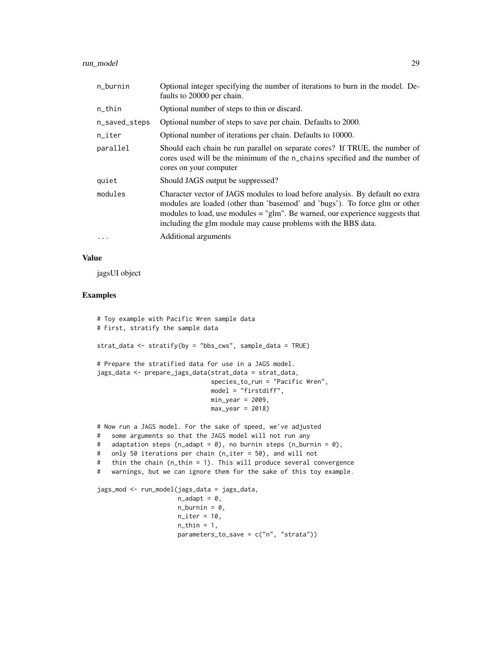#### run\_model 29

| n_burnin      | Optional integer specifying the number of iterations to burn in the model. De-<br>faults to 20000 per chain.                                                                                                                                                                                                      |  |
|---------------|-------------------------------------------------------------------------------------------------------------------------------------------------------------------------------------------------------------------------------------------------------------------------------------------------------------------|--|
| n_thin        | Optional number of steps to thin or discard.                                                                                                                                                                                                                                                                      |  |
| n_saved_steps | Optional number of steps to save per chain. Defaults to 2000.                                                                                                                                                                                                                                                     |  |
| $n$ _iter     | Optional number of iterations per chain. Defaults to 10000.                                                                                                                                                                                                                                                       |  |
| parallel      | Should each chain be run parallel on separate cores? If TRUE, the number of<br>cores used will be the minimum of the n_chains specified and the number of<br>cores on your computer                                                                                                                               |  |
| quiet         | Should JAGS output be suppressed?                                                                                                                                                                                                                                                                                 |  |
| modules       | Character vector of JAGS modules to load before analysis. By default no extra<br>modules are loaded (other than 'basemod' and 'bugs'). To force glm or other<br>modules to load, use modules $=$ "glm". Be warned, our experience suggests that<br>including the glm module may cause problems with the BBS data. |  |
| $\cdots$      | Additional arguments                                                                                                                                                                                                                                                                                              |  |

#### Value

jagsUI object

```
# Toy example with Pacific Wren sample data
# First, stratify the sample data
strat_data <- stratify(by = "bbs_cws", sample_data = TRUE)
# Prepare the stratified data for use in a JAGS model.
jags_data <- prepare_jags_data(strat_data = strat_data,
                               species_to_run = "Pacific Wren",
                               model = "firstdiff",
                               min\_year = 2009,max\_year = 2018# Now run a JAGS model. For the sake of speed, we've adjusted
# some arguments so that the JAGS model will not run any
# adaptation steps (n_adapt = 0), no burnin steps (n_burnin = 0),
# only 50 iterations per chain (n_iter = 50), and will not
# thin the chain (n_thin = 1). This will produce several convergence
# warnings, but we can ignore them for the sake of this toy example.
jags_mod <- run_model(jags_data = jags_data,
                      n\_adapt = 0,n_burnin = 0,
                      n<sub>iter</sub> = 10,
                      n_{th}in = 1,
                      parameters_to_save = c("n", "strata"))
```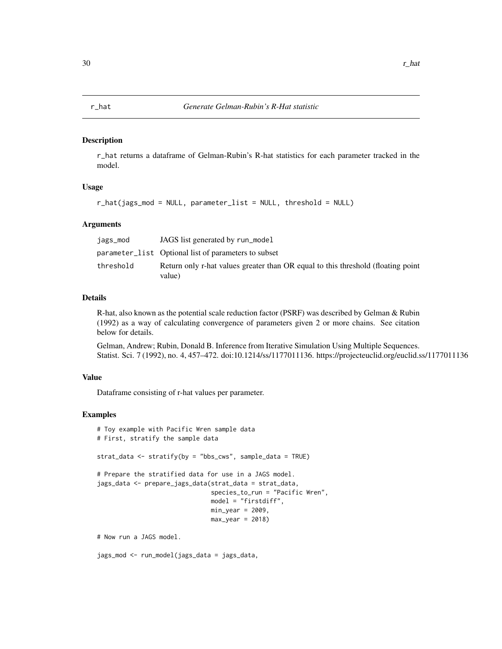<span id="page-29-0"></span>

r\_hat returns a dataframe of Gelman-Rubin's R-hat statistics for each parameter tracked in the model.

#### Usage

r\_hat(jags\_mod = NULL, parameter\_list = NULL, threshold = NULL)

#### **Arguments**

| jags_mod  | JAGS list generated by run_model                                                           |
|-----------|--------------------------------------------------------------------------------------------|
|           | parameter_list Optional list of parameters to subset                                       |
| threshold | Return only r-hat values greater than OR equal to this threshold (floating point<br>value) |

#### Details

R-hat, also known as the potential scale reduction factor (PSRF) was described by Gelman & Rubin (1992) as a way of calculating convergence of parameters given 2 or more chains. See citation below for details.

Gelman, Andrew; Rubin, Donald B. Inference from Iterative Simulation Using Multiple Sequences. Statist. Sci. 7 (1992), no. 4, 457–472. doi:10.1214/ss/1177011136. https://projecteuclid.org/euclid.ss/1177011136

#### Value

Dataframe consisting of r-hat values per parameter.

#### Examples

```
# Toy example with Pacific Wren sample data
# First, stratify the sample data
strat_data <- stratify(by = "bbs_cws", sample_data = TRUE)
# Prepare the stratified data for use in a JAGS model.
jags_data <- prepare_jags_data(strat_data = strat_data,
                               species_to_run = "Pacific Wren",
                               model = "firstdiff",
                               min\_year = 2009,
                               max\_year = 2018# Now run a JAGS model.
```
jags\_mod <- run\_model(jags\_data = jags\_data,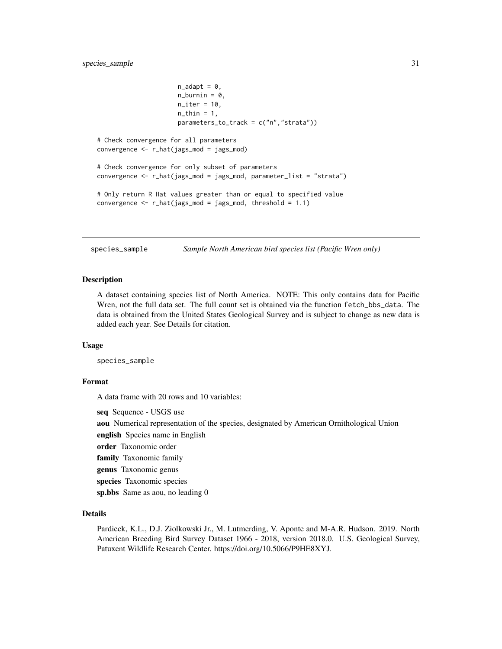```
n\_adapt = 0,
                       n_burnin = 0,
                       n<sub>_iter</sub> = 10,
                       n_{\text{th}}in = 1,
                       parameters_to_track = c("n","strata"))
# Check convergence for all parameters
convergence <- r_hat(jags_mod = jags_mod)
# Check convergence for only subset of parameters
convergence <- r_hat(jags_mod = jags_mod, parameter_list = "strata")
# Only return R Hat values greater than or equal to specified value
convergence \leq r_hat(jags_mod = jags_mod, threshold = 1.1)
```
species\_sample *Sample North American bird species list (Pacific Wren only)*

#### Description

A dataset containing species list of North America. NOTE: This only contains data for Pacific Wren, not the full data set. The full count set is obtained via the function fetch\_bbs\_data. The data is obtained from the United States Geological Survey and is subject to change as new data is added each year. See Details for citation.

#### Usage

species\_sample

#### Format

A data frame with 20 rows and 10 variables:

seq Sequence - USGS use

aou Numerical representation of the species, designated by American Ornithological Union

english Species name in English

order Taxonomic order

family Taxonomic family

genus Taxonomic genus

species Taxonomic species

sp.bbs Same as aou, no leading 0

#### Details

Pardieck, K.L., D.J. Ziolkowski Jr., M. Lutmerding, V. Aponte and M-A.R. Hudson. 2019. North American Breeding Bird Survey Dataset 1966 - 2018, version 2018.0. U.S. Geological Survey, Patuxent Wildlife Research Center. https://doi.org/10.5066/P9HE8XYJ.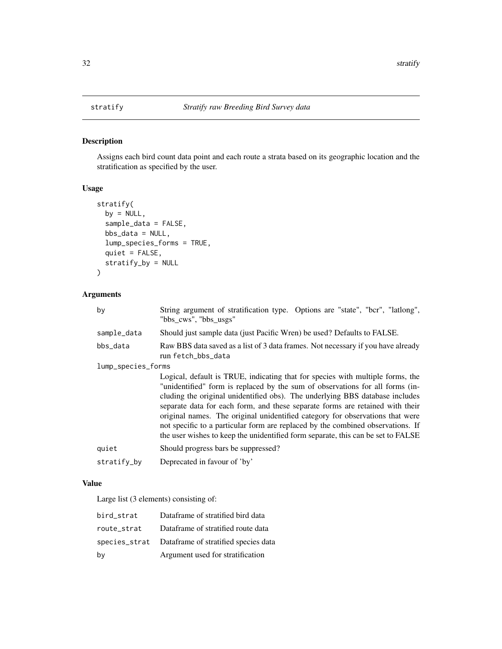Assigns each bird count data point and each route a strata based on its geographic location and the stratification as specified by the user.

#### Usage

```
stratify(
 by = NULL,
  sample_data = FALSE,
 bbs_data = NULL,
  lump_species_forms = TRUE,
  quiet = FALSE,
  stratify_by = NULL
)
```
#### Arguments

| by                 | String argument of stratification type. Options are "state", "bcr", "latlong",<br>"bbs_cws", "bbs_usgs"                                                                                                                                                                                                                                                                                                                                                                                                                                                                                  |  |
|--------------------|------------------------------------------------------------------------------------------------------------------------------------------------------------------------------------------------------------------------------------------------------------------------------------------------------------------------------------------------------------------------------------------------------------------------------------------------------------------------------------------------------------------------------------------------------------------------------------------|--|
| sample_data        | Should just sample data (just Pacific Wren) be used? Defaults to FALSE.                                                                                                                                                                                                                                                                                                                                                                                                                                                                                                                  |  |
| bbs_data           | Raw BBS data saved as a list of 3 data frames. Not necessary if you have already<br>run fetch_bbs_data                                                                                                                                                                                                                                                                                                                                                                                                                                                                                   |  |
| lump_species_forms |                                                                                                                                                                                                                                                                                                                                                                                                                                                                                                                                                                                          |  |
|                    | Logical, default is TRUE, indicating that for species with multiple forms, the<br>"unidentified" form is replaced by the sum of observations for all forms (in-<br>cluding the original unidentified obs). The underlying BBS database includes<br>separate data for each form, and these separate forms are retained with their<br>original names. The original unidentified category for observations that were<br>not specific to a particular form are replaced by the combined observations. If<br>the user wishes to keep the unidentified form separate, this can be set to FALSE |  |
| quiet              | Should progress bars be suppressed?                                                                                                                                                                                                                                                                                                                                                                                                                                                                                                                                                      |  |
| stratify_by        | Deprecated in favour of 'by'                                                                                                                                                                                                                                                                                                                                                                                                                                                                                                                                                             |  |

#### Value

Large list (3 elements) consisting of:

| bird_strat  | Dataframe of stratified bird data                  |
|-------------|----------------------------------------------------|
| route_strat | Dataframe of stratified route data                 |
|             | species_strat Dataframe of stratified species data |
| by          | Argument used for stratification                   |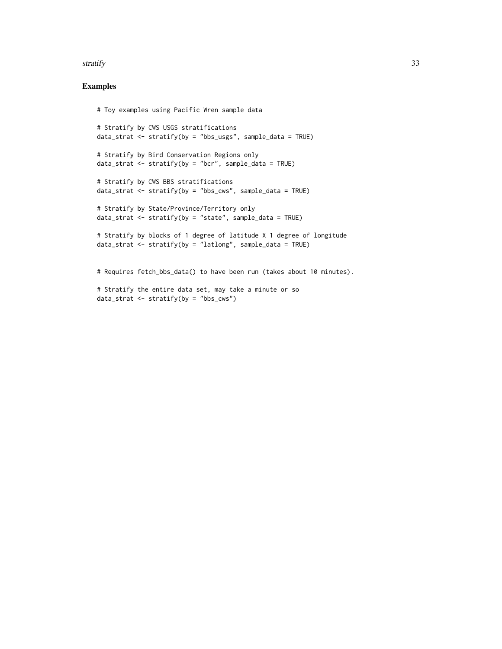#### stratify 33

#### Examples

```
# Toy examples using Pacific Wren sample data
# Stratify by CWS USGS stratifications
data_strat \leq stratify(by = "bbs_usgs", sample_data = TRUE)
# Stratify by Bird Conservation Regions only
data_strat \leq stratify(by = "bcr", sample_data = TRUE)
# Stratify by CWS BBS stratifications
data_strat <- stratify(by = "bbs_cws", sample_data = TRUE)
# Stratify by State/Province/Territory only
data_strat <- stratify(by = "state", sample_data = TRUE)
# Stratify by blocks of 1 degree of latitude X 1 degree of longitude
data_strat <- stratify(by = "latlong", sample_data = TRUE)
# Requires fetch_bbs_data() to have been run (takes about 10 minutes).
# Stratify the entire data set, may take a minute or so
```
data\_strat  $\leq$  stratify(by = "bbs\_cws")